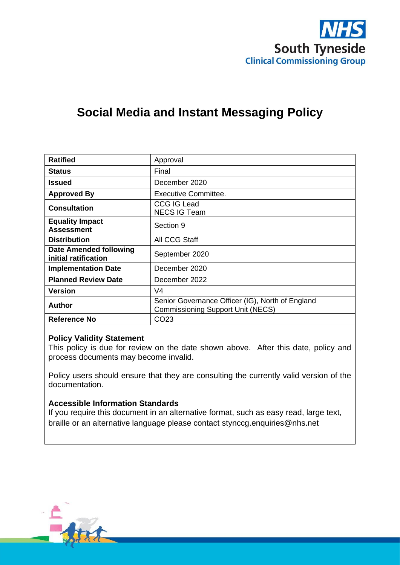

# **Social Media and Instant Messaging Policy**

| <b>Ratified</b>                                | Approval                                                                                     |
|------------------------------------------------|----------------------------------------------------------------------------------------------|
| <b>Status</b>                                  | Final                                                                                        |
| Issued                                         | December 2020                                                                                |
| <b>Approved By</b>                             | <b>Executive Committee.</b>                                                                  |
| <b>Consultation</b>                            | <b>CCG IG Lead</b><br><b>NECS IG Team</b>                                                    |
| <b>Equality Impact</b><br><b>Assessment</b>    | Section 9                                                                                    |
| <b>Distribution</b>                            | All CCG Staff                                                                                |
| Date Amended following<br>initial ratification | September 2020                                                                               |
| <b>Implementation Date</b>                     | December 2020                                                                                |
| <b>Planned Review Date</b>                     | December 2022                                                                                |
| <b>Version</b>                                 | V <sub>4</sub>                                                                               |
| <b>Author</b>                                  | Senior Governance Officer (IG), North of England<br><b>Commissioning Support Unit (NECS)</b> |
| Reference No                                   | CO <sub>23</sub>                                                                             |

### **Policy Validity Statement**

This policy is due for review on the date shown above. After this date, policy and process documents may become invalid.

Policy users should ensure that they are consulting the currently valid version of the documentation.

### **Accessible Information Standards**

If you require this document in an alternative format, such as easy read, large text, braille or an alternative language please contact [stynccg.enquiries@nhs.net](mailto:stynccg.enquiries@nhs.net)

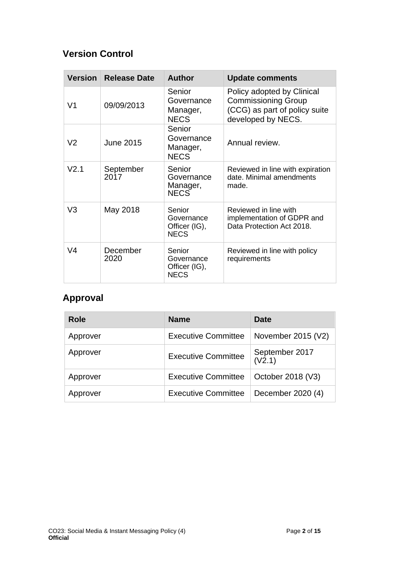# **Version Control**

| <b>Version</b>   | <b>Release Date</b> | <b>Author</b>                                        | <b>Update comments</b>                                                                                          |
|------------------|---------------------|------------------------------------------------------|-----------------------------------------------------------------------------------------------------------------|
| V <sub>1</sub>   | 09/09/2013          | Senior<br>Governance<br>Manager,<br><b>NECS</b>      | Policy adopted by Clinical<br><b>Commissioning Group</b><br>(CCG) as part of policy suite<br>developed by NECS. |
| V <sub>2</sub>   | <b>June 2015</b>    | Senior<br>Governance<br>Manager,<br><b>NECS</b>      | Annual review.                                                                                                  |
| V <sub>2.1</sub> | September<br>2017   | Senior<br>Governance<br>Manager,<br><b>NECS</b>      | Reviewed in line with expiration<br>date. Minimal amendments<br>made.                                           |
| V <sub>3</sub>   | May 2018            | Senior<br>Governance<br>Officer (IG),<br><b>NECS</b> | Reviewed in line with<br>implementation of GDPR and<br>Data Protection Act 2018.                                |
| V <sub>4</sub>   | December<br>2020    | Senior<br>Governance<br>Officer (IG),<br><b>NECS</b> | Reviewed in line with policy<br>requirements                                                                    |

# **Approval**

| <b>Role</b> | <b>Name</b>                | Date                     |
|-------------|----------------------------|--------------------------|
| Approver    | <b>Executive Committee</b> | November 2015 (V2)       |
| Approver    | <b>Executive Committee</b> | September 2017<br>(V2.1) |
| Approver    | <b>Executive Committee</b> | October 2018 (V3)        |
| Approver    | <b>Executive Committee</b> | December 2020 (4)        |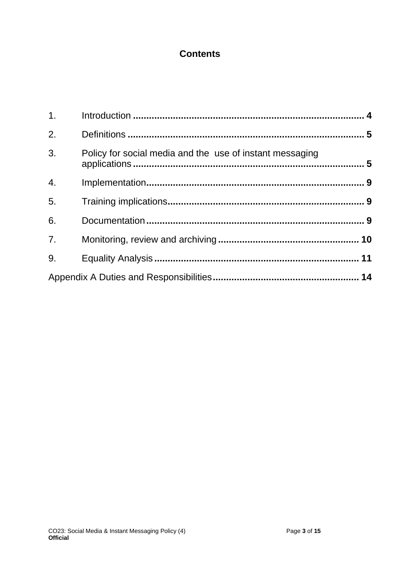# **Contents**

| 1.               |                                                          |  |
|------------------|----------------------------------------------------------|--|
| 2.               |                                                          |  |
| 3 <sub>1</sub>   | Policy for social media and the use of instant messaging |  |
| $\overline{4}$ . |                                                          |  |
| 5.               |                                                          |  |
| 6.               |                                                          |  |
| 7.               |                                                          |  |
| 9.               |                                                          |  |
|                  |                                                          |  |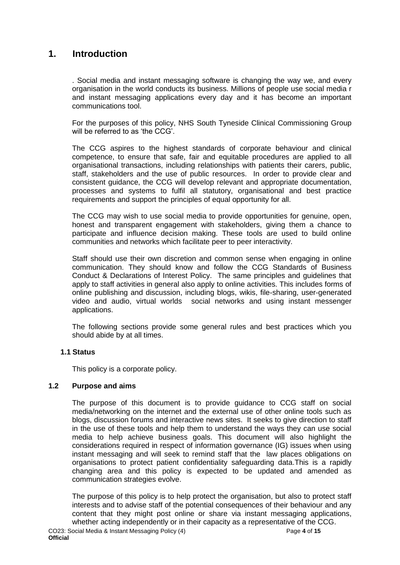## <span id="page-3-0"></span>**1. Introduction**

. Social media and instant messaging software is changing the way we, and every organisation in the world conducts its business. Millions of people use social media r and instant messaging applications every day and it has become an important communications tool.

For the purposes of this policy, NHS South Tyneside Clinical Commissioning Group will be referred to as 'the CCG'.

The CCG aspires to the highest standards of corporate behaviour and clinical competence, to ensure that safe, fair and equitable procedures are applied to all organisational transactions, including relationships with patients their carers, public, staff, stakeholders and the use of public resources. In order to provide clear and consistent guidance, the CCG will develop relevant and appropriate documentation, processes and systems to fulfil all statutory, organisational and best practice requirements and support the principles of equal opportunity for all.

The CCG may wish to use social media to provide opportunities for genuine, open, honest and transparent engagement with stakeholders, giving them a chance to participate and influence decision making. These tools are used to build online communities and networks which facilitate peer to peer interactivity.

Staff should use their own discretion and common sense when engaging in online communication. They should know and follow the CCG Standards of Business Conduct & Declarations of Interest Policy. The same principles and guidelines that apply to staff activities in general also apply to online activities. This includes forms of online publishing and discussion, including blogs, wikis, file-sharing, user-generated video and audio, virtual worlds social networks and using instant messenger applications.

The following sections provide some general rules and best practices which you should abide by at all times.

### **1.1 Status**

This policy is a corporate policy.

### **1.2 Purpose and aims**

The purpose of this document is to provide guidance to CCG staff on social media/networking on the internet and the external use of other online tools such as blogs, discussion forums and interactive news sites. It seeks to give direction to staff in the use of these tools and help them to understand the ways they can use social media to help achieve business goals. This document will also highlight the considerations required in respect of information governance (IG) issues when using instant messaging and will seek to remind staff that the law places obligations on organisations to protect patient confidentiality safeguarding data.This is a rapidly changing area and this policy is expected to be updated and amended as communication strategies evolve.

The purpose of this policy is to help protect the organisation, but also to protect staff interests and to advise staff of the potential consequences of their behaviour and any content that they might post online or share via instant messaging applications, whether acting independently or in their capacity as a representative of the CCG.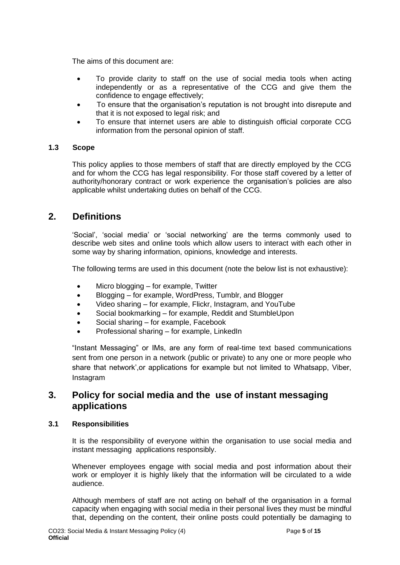The aims of this document are:

- To provide clarity to staff on the use of social media tools when acting independently or as a representative of the CCG and give them the confidence to engage effectively;
- To ensure that the organisation's reputation is not brought into disrepute and that it is not exposed to legal risk; and
- To ensure that internet users are able to distinguish official corporate CCG information from the personal opinion of staff.

### **1.3 Scope**

This policy applies to those members of staff that are directly employed by the CCG and for whom the CCG has legal responsibility. For those staff covered by a letter of authority/honorary contract or work experience the organisation's policies are also applicable whilst undertaking duties on behalf of the CCG.

### <span id="page-4-0"></span>**2. Definitions**

'Social', 'social media' or 'social networking' are the terms commonly used to describe web sites and online tools which allow users to interact with each other in some way by sharing information, opinions, knowledge and interests.

The following terms are used in this document (note the below list is not exhaustive):

- Micro blogging for example, Twitter
- Blogging for example, WordPress, Tumblr, and Blogger
- Video sharing for example, Flickr, Instagram, and YouTube
- Social bookmarking for example, Reddit and StumbleUpon
- Social sharing for example, Facebook
- Professional sharing for example, LinkedIn

"Instant Messaging" or IMs, are any form of real-time text based communications sent from one person in a network (public or private) to any one or more people who share that network',or applications for example but not limited to Whatsapp, Viber, Instagram

### <span id="page-4-1"></span>**3. Policy for social media and the use of instant messaging applications**

### **3.1 Responsibilities**

It is the responsibility of everyone within the organisation to use social media and instant messaging applications responsibly.

Whenever employees engage with social media and post information about their work or employer it is highly likely that the information will be circulated to a wide audience.

Although members of staff are not acting on behalf of the organisation in a formal capacity when engaging with social media in their personal lives they must be mindful that, depending on the content, their online posts could potentially be damaging to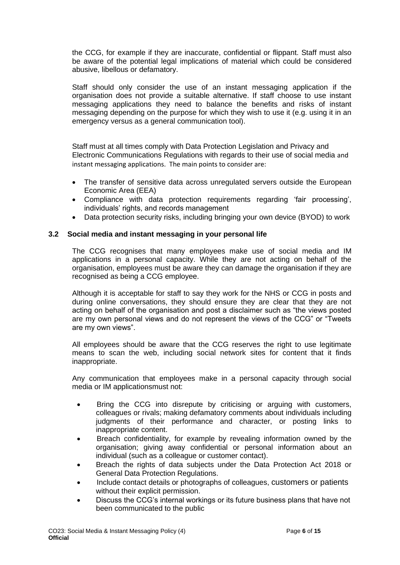the CCG, for example if they are inaccurate, confidential or flippant. Staff must also be aware of the potential legal implications of material which could be considered abusive, libellous or defamatory.

Staff should only consider the use of an instant messaging application if the organisation does not provide a suitable alternative. If staff choose to use instant messaging applications they need to balance the benefits and risks of instant messaging depending on the purpose for which they wish to use it (e.g. using it in an emergency versus as a general communication tool).

Staff must at all times comply with Data Protection Legislation and Privacy and Electronic Communications Regulations with regards to their use of social media and instant messaging applications. The main points to consider are:

- The transfer of sensitive data across unregulated servers outside the European Economic Area (EEA)
- Compliance with data protection requirements regarding 'fair processing', individuals' rights, and records management
- Data protection security risks, including bringing your own device (BYOD) to work

### **3.2 Social media and instant messaging in your personal life**

The CCG recognises that many employees make use of social media and IM applications in a personal capacity. While they are not acting on behalf of the organisation, employees must be aware they can damage the organisation if they are recognised as being a CCG employee.

Although it is acceptable for staff to say they work for the NHS or CCG in posts and during online conversations, they should ensure they are clear that they are not acting on behalf of the organisation and post a disclaimer such as "the views posted are my own personal views and do not represent the views of the CCG" or "Tweets are my own views".

All employees should be aware that the CCG reserves the right to use legitimate means to scan the web, including social network sites for content that it finds inappropriate.

Any communication that employees make in a personal capacity through social media or IM applicationsmust not:

- Bring the CCG into disrepute by criticising or arguing with customers, colleagues or rivals; making defamatory comments about individuals including judgments of their performance and character, or posting links to inappropriate content.
- Breach confidentiality, for example by revealing information owned by the organisation; giving away confidential or personal information about an individual (such as a colleague or customer contact).
- Breach the rights of data subjects under the Data Protection Act 2018 or General Data Protection Regulations.
- Include contact details or photographs of colleagues, customers or patients without their explicit permission.
- Discuss the CCG's internal workings or its future business plans that have not been communicated to the public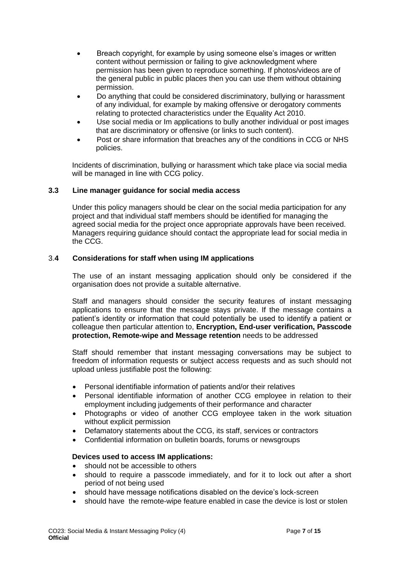- Breach copyright, for example by using someone else's images or written content without permission or failing to give acknowledgment where permission has been given to reproduce something. If photos/videos are of the general public in public places then you can use them without obtaining permission.
- Do anything that could be considered discriminatory, bullying or harassment of any individual, for example by making offensive or derogatory comments relating to protected characteristics under the Equality Act 2010.
- Use social media or Im applications to bully another individual or post images that are discriminatory or offensive (or links to such content).
- Post or share information that breaches any of the conditions in CCG or NHS policies.

Incidents of discrimination, bullying or harassment which take place via social media will be managed in line with CCG policy.

### **3.3 Line manager guidance for social media access**

Under this policy managers should be clear on the social media participation for any project and that individual staff members should be identified for managing the agreed social media for the project once appropriate approvals have been received. Managers requiring guidance should contact the appropriate lead for social media in the CCG.

### 3.**4 Considerations for staff when using IM applications**

The use of an instant messaging application should only be considered if the organisation does not provide a suitable alternative.

Staff and managers should consider the security features of instant messaging applications to ensure that the message stays private. If the message contains a patient's identity or information that could potentially be used to identify a patient or colleague then particular attention to, **Encryption, End-user verification, Passcode protection, Remote-wipe and Message retention** needs to be addressed

Staff should remember that instant messaging conversations may be subject to freedom of information requests or subject access requests and as such should not upload unless justifiable post the following:

- Personal identifiable information of patients and/or their relatives
- Personal identifiable information of another CCG employee in relation to their employment including judgements of their performance and character
- Photographs or video of another CCG employee taken in the work situation without explicit permission
- Defamatory statements about the CCG, its staff, services or contractors
- Confidential information on bulletin boards, forums or newsgroups

### **Devices used to access IM applications:**

- should not be accessible to others
- should to require a passcode immediately, and for it to lock out after a short period of not being used
- should have message notifications disabled on the device's lock-screen
- should have the remote-wipe feature enabled in case the device is lost or stolen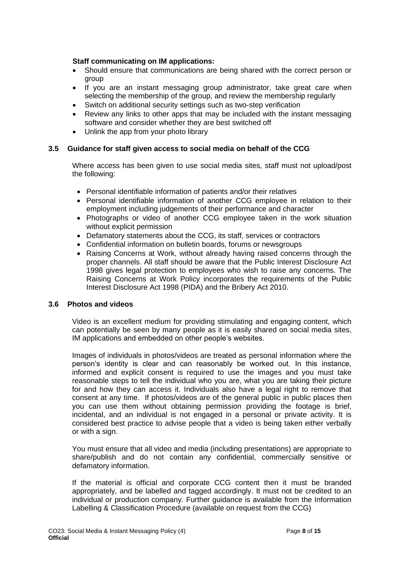### **Staff communicating on IM applications:**

- Should ensure that communications are being shared with the correct person or group
- If you are an instant messaging group administrator, take great care when selecting the membership of the group, and review the membership regularly
- Switch on additional security settings such as two-step verification
- Review any links to other apps that may be included with the instant messaging software and consider whether they are best switched off
- Unlink the app from your photo library

### **3.5 Guidance for staff given access to social media on behalf of the CCG**

Where access has been given to use social media sites, staff must not upload/post the following:

- Personal identifiable information of patients and/or their relatives
- Personal identifiable information of another CCG employee in relation to their employment including judgements of their performance and character
- Photographs or video of another CCG employee taken in the work situation without explicit permission
- Defamatory statements about the CCG, its staff, services or contractors
- Confidential information on bulletin boards, forums or newsgroups
- Raising Concerns at Work, without already having raised concerns through the proper channels. All staff should be aware that the Public Interest Disclosure Act 1998 gives legal protection to employees who wish to raise any concerns. The Raising Concerns at Work Policy incorporates the requirements of the Public Interest Disclosure Act 1998 (PIDA) and the Bribery Act 2010.

#### **3.6 Photos and videos**

Video is an excellent medium for providing stimulating and engaging content, which can potentially be seen by many people as it is easily shared on social media sites, IM applications and embedded on other people's websites.

Images of individuals in photos/videos are treated as personal information where the person's identity is clear and can reasonably be worked out. In this instance, informed and explicit consent is required to use the images and you must take reasonable steps to tell the individual who you are, what you are taking their picture for and how they can access it. Individuals also have a legal right to remove that consent at any time. If photos/videos are of the general public in public places then you can use them without obtaining permission providing the footage is brief, incidental, and an individual is not engaged in a personal or private activity. It is considered best practice to advise people that a video is being taken either verbally or with a sign.

You must ensure that all video and media (including presentations) are appropriate to share/publish and do not contain any confidential, commercially sensitive or defamatory information.

If the material is official and corporate CCG content then it must be branded appropriately, and be labelled and tagged accordingly. It must not be credited to an individual or production company. Further guidance is available from the Information Labelling & Classification Procedure (available on request from the CCG)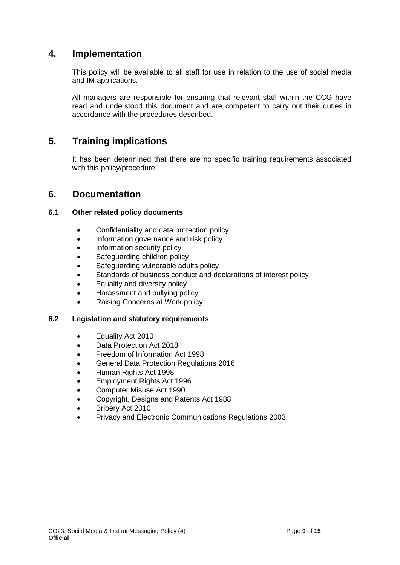### <span id="page-8-0"></span>**4. Implementation**

This policy will be available to all staff for use in relation to the use of social media and IM applications.

All managers are responsible for ensuring that relevant staff within the CCG have read and understood this document and are competent to carry out their duties in accordance with the procedures described.

### <span id="page-8-1"></span>**5. Training implications**

It has been determined that there are no specific training requirements associated with this policy/procedure.

### <span id="page-8-2"></span>**6. Documentation**

### **6.1 Other related policy documents**

- Confidentiality and data protection policy
- Information governance and risk policy
- Information security policy
- Safeguarding children policy
- Safeguarding vulnerable adults policy
- Standards of business conduct and declarations of interest policy
- Equality and diversity policy
- Harassment and bullying policy
- Raising Concerns at Work policy

### **6.2 Legislation and statutory requirements**

- Equality Act 2010
- Data Protection Act 2018
- Freedom of Information Act 1998
- General Data Protection Regulations 2016
- Human Rights Act 1998
- Employment Rights Act 1996
- Computer Misuse Act 1990
- Copyright, Designs and Patents Act 1988
- Bribery Act 2010
- Privacy and Electronic Communications Regulations 2003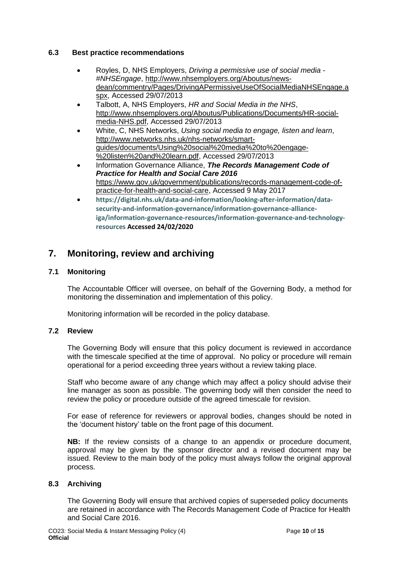### **6.3 Best practice recommendations**

- Royles, D, NHS Employers, *Driving a permissive use of social media - #NHSEngage*, [http://www.nhsemployers.org/Aboutus/news](http://www.nhsemployers.org/Aboutus/news-dean/commentry/Pages/DrivingAPermissiveUseOfSocialMediaNHSEngage.aspx)[dean/commentry/Pages/DrivingAPermissiveUseOfSocialMediaNHSEngage.a](http://www.nhsemployers.org/Aboutus/news-dean/commentry/Pages/DrivingAPermissiveUseOfSocialMediaNHSEngage.aspx) [spx,](http://www.nhsemployers.org/Aboutus/news-dean/commentry/Pages/DrivingAPermissiveUseOfSocialMediaNHSEngage.aspx) Accessed 29/07/2013
- Talbott, A, NHS Employers, *HR and Social Media in the NHS*, [http://www.nhsemployers.org/Aboutus/Publications/Documents/HR-social](http://www.nhsemployers.org/Aboutus/Publications/Documents/HR-social-media-NHS.pdf)[media-NHS.pdf,](http://www.nhsemployers.org/Aboutus/Publications/Documents/HR-social-media-NHS.pdf) Accessed 29/07/2013
- White, C, NHS Networks, *Using social media to engage, listen and learn*, [http://www.networks.nhs.uk/nhs-networks/smart](http://www.networks.nhs.uk/nhs-networks/smart-guides/documents/Using%20social%20media%20to%20engage-%20listen%20and%20learn.pdf)[guides/documents/Using%20social%20media%20to%20engage-](http://www.networks.nhs.uk/nhs-networks/smart-guides/documents/Using%20social%20media%20to%20engage-%20listen%20and%20learn.pdf) [%20listen%20and%20learn.pdf,](http://www.networks.nhs.uk/nhs-networks/smart-guides/documents/Using%20social%20media%20to%20engage-%20listen%20and%20learn.pdf) Accessed 29/07/2013
- Information Governance Alliance, *The Records Management Code of Practice for Health and Social Care 2016* [https://www.gov.uk/government/publications/records-management-code-of](https://www.gov.uk/government/publications/records-management-code-of-practice-for-health-and-social-care)[practice-for-health-and-social-care,](https://www.gov.uk/government/publications/records-management-code-of-practice-for-health-and-social-care) Accessed 9 May 2017
- **[https://digital.nhs.uk/data-and-information/looking-after-information/data](https://digital.nhs.uk/data-and-information/looking-after-information/data-security-and-information-governance/information-governance-alliance-iga/information-governance-resources/information-governance-and-technology-resources)[security-and-information-governance/information-governance-alliance](https://digital.nhs.uk/data-and-information/looking-after-information/data-security-and-information-governance/information-governance-alliance-iga/information-governance-resources/information-governance-and-technology-resources)[iga/information-governance-resources/information-governance-and-technology](https://digital.nhs.uk/data-and-information/looking-after-information/data-security-and-information-governance/information-governance-alliance-iga/information-governance-resources/information-governance-and-technology-resources)[resources](https://digital.nhs.uk/data-and-information/looking-after-information/data-security-and-information-governance/information-governance-alliance-iga/information-governance-resources/information-governance-and-technology-resources) Accessed 24/02/2020**

## <span id="page-9-0"></span>**7. Monitoring, review and archiving**

### **7.1 Monitoring**

The Accountable Officer will oversee, on behalf of the Governing Body, a method for monitoring the dissemination and implementation of this policy.

Monitoring information will be recorded in the policy database.

### **7.2 Review**

The Governing Body will ensure that this policy document is reviewed in accordance with the timescale specified at the time of approval. No policy or procedure will remain operational for a period exceeding three years without a review taking place.

Staff who become aware of any change which may affect a policy should advise their line manager as soon as possible. The governing body will then consider the need to review the policy or procedure outside of the agreed timescale for revision.

For ease of reference for reviewers or approval bodies, changes should be noted in the 'document history' table on the front page of this document.

**NB:** If the review consists of a change to an appendix or procedure document, approval may be given by the sponsor director and a revised document may be issued. Review to the main body of the policy must always follow the original approval process.

### **8.3 Archiving**

The Governing Body will ensure that archived copies of superseded policy documents are retained in accordance with The Records Management Code of Practice for Health and Social Care 2016.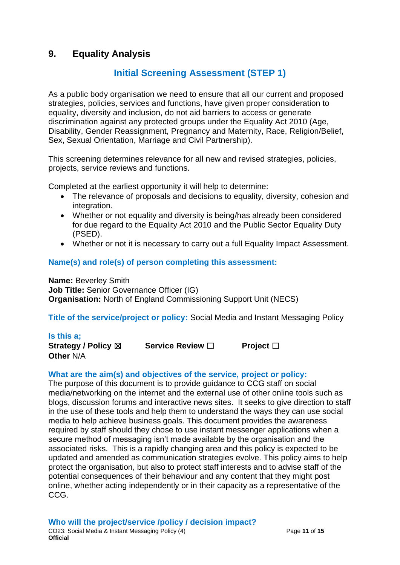## <span id="page-10-0"></span>**9. Equality Analysis**

# **Initial Screening Assessment (STEP 1)**

As a public body organisation we need to ensure that all our current and proposed strategies, policies, services and functions, have given proper consideration to equality, diversity and inclusion, do not aid barriers to access or generate discrimination against any protected groups under the Equality Act 2010 (Age, Disability, Gender Reassignment, Pregnancy and Maternity, Race, Religion/Belief, Sex, Sexual Orientation, Marriage and Civil Partnership).

This screening determines relevance for all new and revised strategies, policies, projects, service reviews and functions.

Completed at the earliest opportunity it will help to determine:

- The relevance of proposals and decisions to equality, diversity, cohesion and integration.
- Whether or not equality and diversity is being/has already been considered for due regard to the Equality Act 2010 and the Public Sector Equality Duty (PSED).
- Whether or not it is necessary to carry out a full Equality Impact Assessment.

### **Name(s) and role(s) of person completing this assessment:**

**Name:** Beverley Smith **Job Title: Senior Governance Officer (IG) Organisation:** North of England Commissioning Support Unit (NECS)

**Title of the service/project or policy:** Social Media and Instant Messaging Policy

### **Is this a;**

**Strategy / Policy** ☒ **Service Review** ☐ **Project** ☐ **Other** N/A

### **What are the aim(s) and objectives of the service, project or policy:**

The purpose of this document is to provide guidance to CCG staff on social media/networking on the internet and the external use of other online tools such as blogs, discussion forums and interactive news sites. It seeks to give direction to staff in the use of these tools and help them to understand the ways they can use social media to help achieve business goals. This document provides the awareness required by staff should they chose to use instant messenger applications when a secure method of messaging isn't made available by the organisation and the associated risks. This is a rapidly changing area and this policy is expected to be updated and amended as communication strategies evolve. This policy aims to help protect the organisation, but also to protect staff interests and to advise staff of the potential consequences of their behaviour and any content that they might post online, whether acting independently or in their capacity as a representative of the CCG.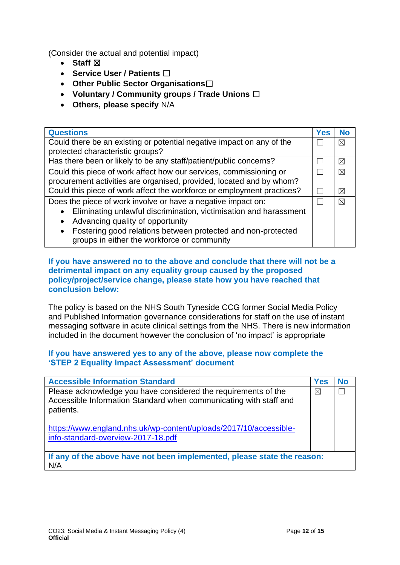(Consider the actual and potential impact)

- **Staff**  $⊠$
- **Service User / Patients** ☐
- **Other Public Sector Organisations**☐
- **Voluntary / Community groups / Trade Unions** ☐
- **Others, please specify** N/A

| <b>Questions</b>                                                          | <b>Yes</b> | <b>No</b>   |
|---------------------------------------------------------------------------|------------|-------------|
| Could there be an existing or potential negative impact on any of the     |            | $\boxtimes$ |
| protected characteristic groups?                                          |            |             |
| Has there been or likely to be any staff/patient/public concerns?         |            | ⊠           |
| Could this piece of work affect how our services, commissioning or        |            | $\boxtimes$ |
| procurement activities are organised, provided, located and by whom?      |            |             |
| Could this piece of work affect the workforce or employment practices?    |            | ⊠           |
| Does the piece of work involve or have a negative impact on:              |            | ⊠           |
| Eliminating unlawful discrimination, victimisation and harassment         |            |             |
| Advancing quality of opportunity<br>$\bullet$                             |            |             |
| Fostering good relations between protected and non-protected<br>$\bullet$ |            |             |
| groups in either the workforce or community                               |            |             |

### **If you have answered no to the above and conclude that there will not be a detrimental impact on any equality group caused by the proposed policy/project/service change, please state how you have reached that conclusion below:**

The policy is based on the NHS South Tyneside CCG former Social Media Policy and Published Information governance considerations for staff on the use of instant messaging software in acute clinical settings from the NHS. There is new information included in the document however the conclusion of 'no impact' is appropriate

### **If you have answered yes to any of the above, please now complete the 'STEP 2 Equality Impact Assessment' document**

| <b>Accessible Information Standard</b>                                                                                                           | Yes | No |
|--------------------------------------------------------------------------------------------------------------------------------------------------|-----|----|
| Please acknowledge you have considered the requirements of the<br>Accessible Information Standard when communicating with staff and<br>patients. | X   |    |
| https://www.england.nhs.uk/wp-content/uploads/2017/10/accessible-<br>info-standard-overview-2017-18.pdf                                          |     |    |
| If any of the above have not been implemented, please state the reason:<br>N/A                                                                   |     |    |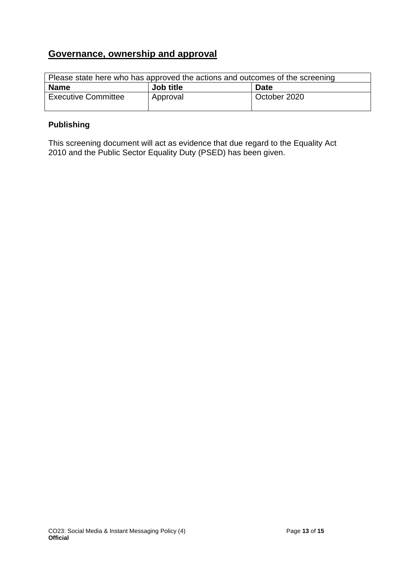## **Governance, ownership and approval**

| Please state here who has approved the actions and outcomes of the screening |           |              |
|------------------------------------------------------------------------------|-----------|--------------|
| <b>Name</b>                                                                  | Job title | <b>Date</b>  |
| <b>Executive Committee</b>                                                   | Approval  | October 2020 |

### **Publishing**

This screening document will act as evidence that due regard to the Equality Act 2010 and the Public Sector Equality Duty (PSED) has been given.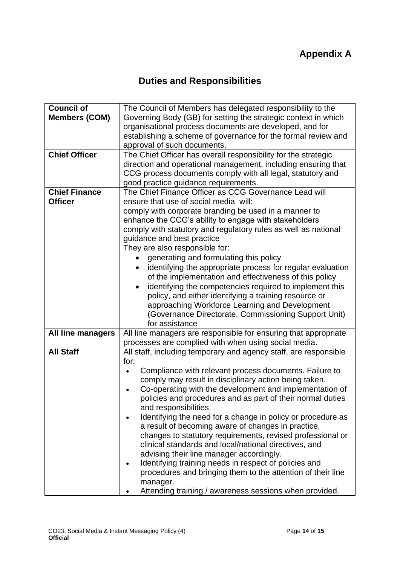# **Duties and Responsibilities**

<span id="page-13-1"></span><span id="page-13-0"></span>

| <b>Council of</b>        | The Council of Members has delegated responsibility to the           |
|--------------------------|----------------------------------------------------------------------|
| <b>Members (COM)</b>     | Governing Body (GB) for setting the strategic context in which       |
|                          | organisational process documents are developed, and for              |
|                          | establishing a scheme of governance for the formal review and        |
|                          | approval of such documents.                                          |
| <b>Chief Officer</b>     |                                                                      |
|                          | The Chief Officer has overall responsibility for the strategic       |
|                          | direction and operational management, including ensuring that        |
|                          | CCG process documents comply with all legal, statutory and           |
|                          | good practice guidance requirements.                                 |
| <b>Chief Finance</b>     | The Chief Finance Officer as CCG Governance Lead will                |
| <b>Officer</b>           | ensure that use of social media will:                                |
|                          | comply with corporate branding be used in a manner to                |
|                          | enhance the CCG's ability to engage with stakeholders                |
|                          | comply with statutory and regulatory rules as well as national       |
|                          | guidance and best practice                                           |
|                          | They are also responsible for:                                       |
|                          | generating and formulating this policy                               |
|                          | identifying the appropriate process for regular evaluation           |
|                          | of the implementation and effectiveness of this policy               |
|                          | identifying the competencies required to implement this<br>$\bullet$ |
|                          | policy, and either identifying a training resource or                |
|                          | approaching Workforce Learning and Development                       |
|                          | (Governance Directorate, Commissioning Support Unit)                 |
|                          | for assistance                                                       |
| <b>All line managers</b> | All line managers are responsible for ensuring that appropriate      |
|                          | processes are complied with when using social media.                 |
| <b>All Staff</b>         | All staff, including temporary and agency staff, are responsible     |
|                          | for:                                                                 |
|                          | Compliance with relevant process documents. Failure to               |
|                          | comply may result in disciplinary action being taken.                |
|                          | Co-operating with the development and implementation of              |
|                          | policies and procedures and as part of their normal duties           |
|                          | and responsibilities.                                                |
|                          | Identifying the need for a change in policy or procedure as          |
|                          | a result of becoming aware of changes in practice,                   |
|                          | changes to statutory requirements, revised professional or           |
|                          | clinical standards and local/national directives, and                |
|                          | advising their line manager accordingly.                             |
|                          | Identifying training needs in respect of policies and                |
|                          | procedures and bringing them to the attention of their line          |
|                          | manager.                                                             |
|                          | Attending training / awareness sessions when provided.               |